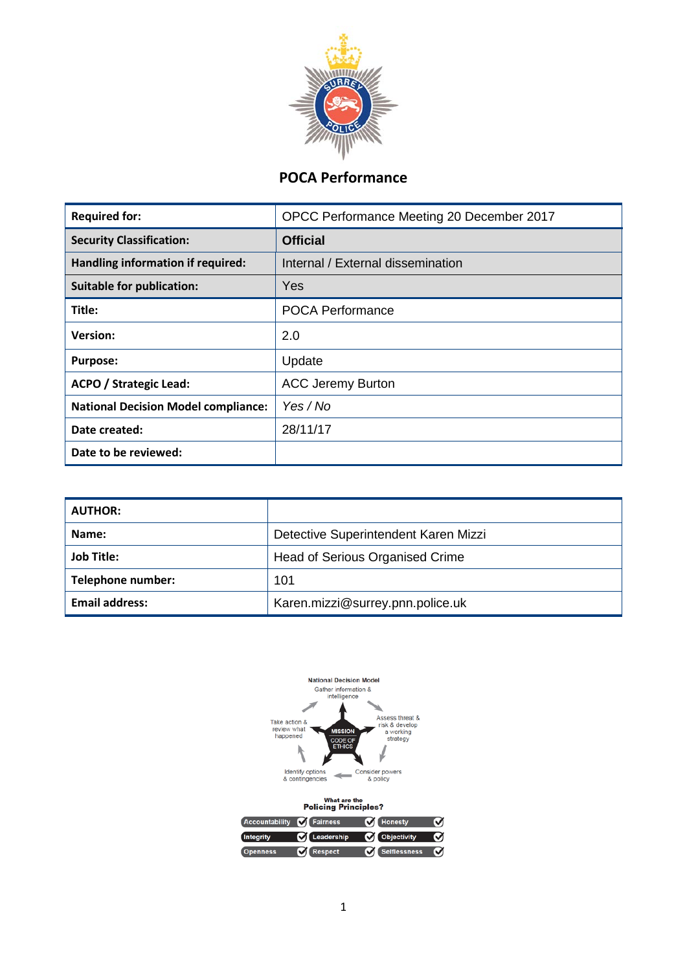

# **POCA Performance**

| <b>Required for:</b>                       | OPCC Performance Meeting 20 December 2017 |  |  |
|--------------------------------------------|-------------------------------------------|--|--|
| <b>Security Classification:</b>            | <b>Official</b>                           |  |  |
| Handling information if required:          | Internal / External dissemination         |  |  |
| <b>Suitable for publication:</b>           | Yes                                       |  |  |
| Title:                                     | <b>POCA Performance</b>                   |  |  |
| <b>Version:</b>                            | 2.0                                       |  |  |
| <b>Purpose:</b>                            | Update                                    |  |  |
| <b>ACPO / Strategic Lead:</b>              | <b>ACC Jeremy Burton</b>                  |  |  |
| <b>National Decision Model compliance:</b> | Yes / No                                  |  |  |
| Date created:                              | 28/11/17                                  |  |  |
| Date to be reviewed:                       |                                           |  |  |

| <b>AUTHOR:</b>        |                                        |
|-----------------------|----------------------------------------|
| Name:                 | Detective Superintendent Karen Mizzi   |
| <b>Job Title:</b>     | <b>Head of Serious Organised Crime</b> |
| Telephone number:     | 101                                    |
| <b>Email address:</b> | Karen.mizzi@surrey.pnn.police.uk       |

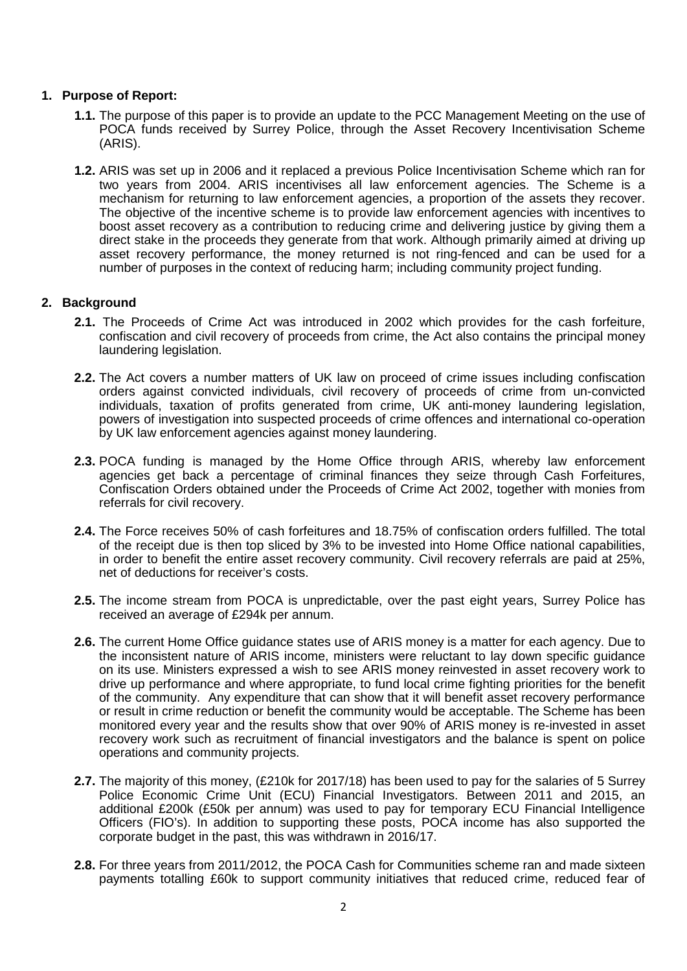#### **1. Purpose of Report:**

- **1.1.** The purpose of this paper is to provide an update to the PCC Management Meeting on the use of POCA funds received by Surrey Police, through the Asset Recovery Incentivisation Scheme (ARIS).
- **1.2.** ARIS was set up in 2006 and it replaced a previous Police Incentivisation Scheme which ran for two years from 2004. ARIS incentivises all law enforcement agencies. The Scheme is a mechanism for returning to law enforcement agencies, a proportion of the assets they recover. The objective of the incentive scheme is to provide law enforcement agencies with incentives to boost asset recovery as a contribution to reducing crime and delivering justice by giving them a direct stake in the proceeds they generate from that work. Although primarily aimed at driving up asset recovery performance, the money returned is not ring-fenced and can be used for a number of purposes in the context of reducing harm; including community project funding.

## **2. Background**

- **2.1.** The Proceeds of Crime Act was introduced in 2002 which provides for the cash forfeiture, confiscation and civil recovery of proceeds from crime, the Act also contains the principal money laundering legislation.
- **2.2.** The Act covers a number matters of UK law on proceed of crime issues including confiscation orders against convicted individuals, civil recovery of proceeds of crime from un-convicted individuals, taxation of profits generated from crime, UK anti-money laundering legislation, powers of investigation into suspected proceeds of crime offences and international co-operation by UK law enforcement agencies against money laundering.
- **2.3.** POCA funding is managed by the Home Office through ARIS, whereby law enforcement agencies get back a percentage of criminal finances they seize through Cash Forfeitures, Confiscation Orders obtained under the Proceeds of Crime Act 2002, together with monies from referrals for civil recovery.
- **2.4.** The Force receives 50% of cash forfeitures and 18.75% of confiscation orders fulfilled. The total of the receipt due is then top sliced by 3% to be invested into Home Office national capabilities, in order to benefit the entire asset recovery community. Civil recovery referrals are paid at 25%, net of deductions for receiver's costs.
- **2.5.** The income stream from POCA is unpredictable, over the past eight years, Surrey Police has received an average of £294k per annum.
- **2.6.** The current Home Office guidance states use of ARIS money is a matter for each agency. Due to the inconsistent nature of ARIS income, ministers were reluctant to lay down specific guidance on its use. Ministers expressed a wish to see ARIS money reinvested in asset recovery work to drive up performance and where appropriate, to fund local crime fighting priorities for the benefit of the community. Any expenditure that can show that it will benefit asset recovery performance or result in crime reduction or benefit the community would be acceptable. The Scheme has been monitored every year and the results show that over 90% of ARIS money is re-invested in asset recovery work such as recruitment of financial investigators and the balance is spent on police operations and community projects.
- **2.7.** The majority of this money, (£210k for 2017/18) has been used to pay for the salaries of 5 Surrey Police Economic Crime Unit (ECU) Financial Investigators. Between 2011 and 2015, an additional £200k (£50k per annum) was used to pay for temporary ECU Financial Intelligence Officers (FIO's). In addition to supporting these posts, POCA income has also supported the corporate budget in the past, this was withdrawn in 2016/17.
- **2.8.** For three years from 2011/2012, the POCA Cash for Communities scheme ran and made sixteen payments totalling £60k to support community initiatives that reduced crime, reduced fear of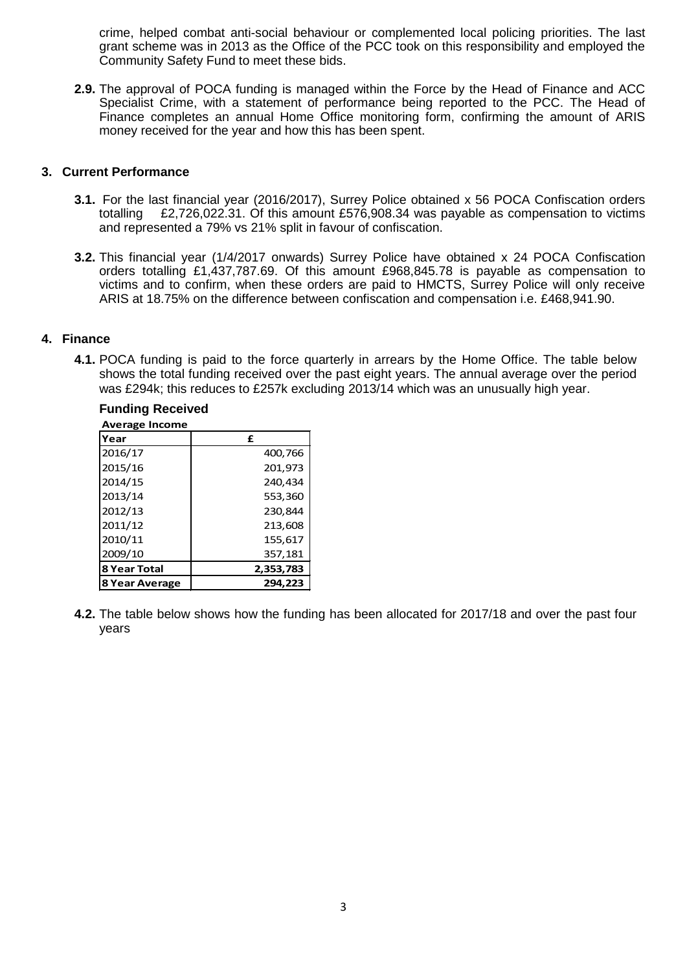crime, helped combat anti-social behaviour or complemented local policing priorities. The last grant scheme was in 2013 as the Office of the PCC took on this responsibility and employed the Community Safety Fund to meet these bids.

**2.9.** The approval of POCA funding is managed within the Force by the Head of Finance and ACC Specialist Crime, with a statement of performance being reported to the PCC. The Head of Finance completes an annual Home Office monitoring form, confirming the amount of ARIS money received for the year and how this has been spent.

#### **3. Current Performance**

- **3.1.** For the last financial year (2016/2017), Surrey Police obtained x 56 POCA Confiscation orders totalling <br>for this amount £576.908.34 was payable as compensation to victims £2.726.022.31. Of this amount £576,908.34 was payable as compensation to victims and represented a 79% vs 21% split in favour of confiscation.
- **3.2.** This financial year (1/4/2017 onwards) Surrey Police have obtained x 24 POCA Confiscation orders totalling £1,437,787.69. Of this amount £968,845.78 is payable as compensation to victims and to confirm, when these orders are paid to HMCTS, Surrey Police will only receive ARIS at 18.75% on the difference between confiscation and compensation i.e. £468,941.90.

## **4. Finance**

**4.1.** POCA funding is paid to the force quarterly in arrears by the Home Office. The table below shows the total funding received over the past eight years. The annual average over the period was £294k; this reduces to £257k excluding 2013/14 which was an unusually high year.

| <b>Average Income</b> |           |
|-----------------------|-----------|
| Year                  | £         |
| 2016/17               | 400,766   |
| 2015/16               | 201,973   |
| 2014/15               | 240,434   |
| 2013/14               | 553,360   |
| 2012/13               | 230,844   |
| 2011/12               | 213,608   |
| 2010/11               | 155,617   |
| 2009/10               | 357,181   |
| <b>8 Year Total</b>   | 2,353,783 |
| 8 Year Average        | 294.223   |

# **Funding Received**

**4.2.** The table below shows how the funding has been allocated for 2017/18 and over the past four years